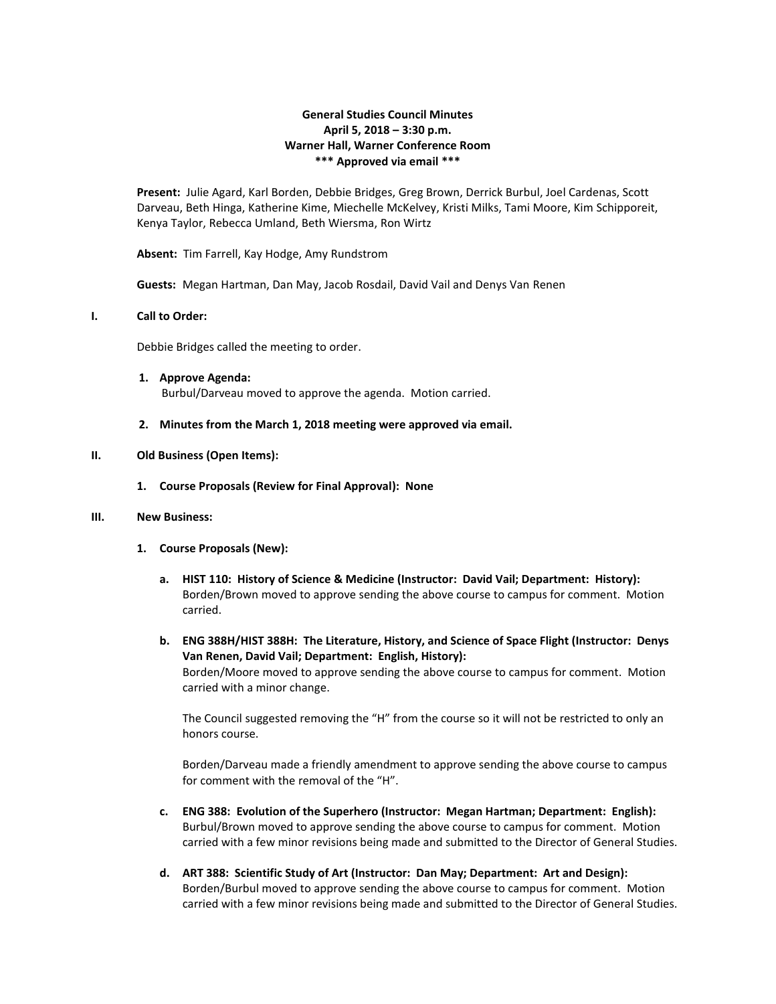# **General Studies Council Minutes April 5, 2018 – 3:30 p.m. Warner Hall, Warner Conference Room \*\*\* Approved via email \*\*\***

**Present:** Julie Agard, Karl Borden, Debbie Bridges, Greg Brown, Derrick Burbul, Joel Cardenas, Scott Darveau, Beth Hinga, Katherine Kime, Miechelle McKelvey, Kristi Milks, Tami Moore, Kim Schipporeit, Kenya Taylor, Rebecca Umland, Beth Wiersma, Ron Wirtz

**Absent:** Tim Farrell, Kay Hodge, Amy Rundstrom

**Guests:** Megan Hartman, Dan May, Jacob Rosdail, David Vail and Denys Van Renen

#### **I. Call to Order:**

Debbie Bridges called the meeting to order.

- **1. Approve Agenda:** Burbul/Darveau moved to approve the agenda. Motion carried.
- **2. Minutes from the March 1, 2018 meeting were approved via email.**

#### **II. Old Business (Open Items):**

**1. Course Proposals (Review for Final Approval): None**

#### **III. New Business:**

- **1. Course Proposals (New):**
	- **a. HIST 110: History of Science & Medicine (Instructor: David Vail; Department: History):** Borden/Brown moved to approve sending the above course to campus for comment. Motion carried.
	- **b. ENG 388H/HIST 388H: The Literature, History, and Science of Space Flight (Instructor: Denys Van Renen, David Vail; Department: English, History):** Borden/Moore moved to approve sending the above course to campus for comment. Motion carried with a minor change.

The Council suggested removing the "H" from the course so it will not be restricted to only an honors course.

Borden/Darveau made a friendly amendment to approve sending the above course to campus for comment with the removal of the "H".

- **c. ENG 388: Evolution of the Superhero (Instructor: Megan Hartman; Department: English):** Burbul/Brown moved to approve sending the above course to campus for comment. Motion carried with a few minor revisions being made and submitted to the Director of General Studies.
- **d. ART 388: Scientific Study of Art (Instructor: Dan May; Department: Art and Design):** Borden/Burbul moved to approve sending the above course to campus for comment. Motion carried with a few minor revisions being made and submitted to the Director of General Studies.